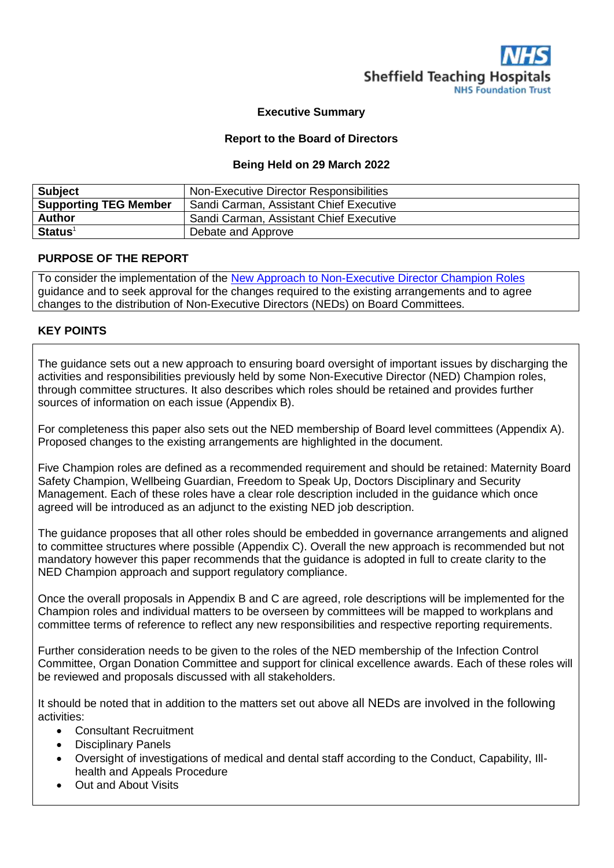

#### **Executive Summary**

#### **Report to the Board of Directors**

#### **Being Held on 29 March 2022**

| <b>Subject</b>               | Non-Executive Director Responsibilities |
|------------------------------|-----------------------------------------|
| <b>Supporting TEG Member</b> | Sandi Carman, Assistant Chief Executive |
| <b>Author</b>                | Sandi Carman, Assistant Chief Executive |
| $Status1$                    | Debate and Approve                      |

### **PURPOSE OF THE REPORT**

To consider the implementation of the [New Approach to Non-Executive Director Champion Roles](https://www.england.nhs.uk/wp-content/uploads/2021/12/B0994_Enhancing-board-oversight-a-new-approach-to-non-executive-director-champion-roles_December-2021.pdf) guidance and to seek approval for the changes required to the existing arrangements and to agree changes to the distribution of Non-Executive Directors (NEDs) on Board Committees.

#### **KEY POINTS**

The guidance sets out a new approach to ensuring board oversight of important issues by discharging the activities and responsibilities previously held by some Non-Executive Director (NED) Champion roles, through committee structures. It also describes which roles should be retained and provides further sources of information on each issue (Appendix B).

For completeness this paper also sets out the NED membership of Board level committees (Appendix A). Proposed changes to the existing arrangements are highlighted in the document.

Five Champion roles are defined as a recommended requirement and should be retained: Maternity Board Safety Champion, Wellbeing Guardian, Freedom to Speak Up, Doctors Disciplinary and Security Management. Each of these roles have a clear role description included in the guidance which once agreed will be introduced as an adjunct to the existing NED job description.

The guidance proposes that all other roles should be embedded in governance arrangements and aligned to committee structures where possible (Appendix C). Overall the new approach is recommended but not mandatory however this paper recommends that the guidance is adopted in full to create clarity to the NED Champion approach and support regulatory compliance.

Once the overall proposals in Appendix B and C are agreed, role descriptions will be implemented for the Champion roles and individual matters to be overseen by committees will be mapped to workplans and committee terms of reference to reflect any new responsibilities and respective reporting requirements.

Further consideration needs to be given to the roles of the NED membership of the Infection Control Committee, Organ Donation Committee and support for clinical excellence awards. Each of these roles will be reviewed and proposals discussed with all stakeholders.

It should be noted that in addition to the matters set out above all NEDs are involved in the following activities:

- Consultant Recruitment
- Disciplinary Panels
- Oversight of investigations of medical and dental staff according to the Conduct, Capability, Illhealth and Appeals Procedure
- Out and About Visits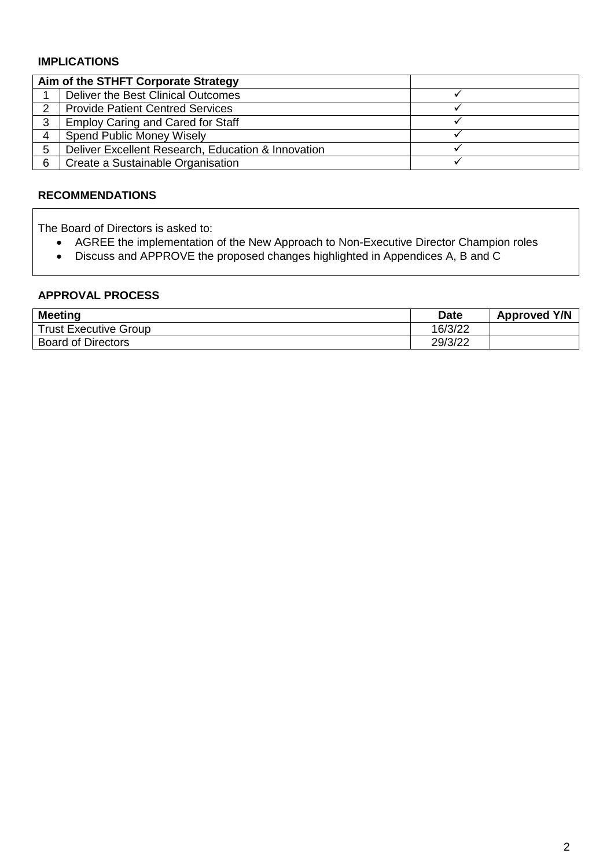## **IMPLICATIONS**

|               | Aim of the STHFT Corporate Strategy                |  |
|---------------|----------------------------------------------------|--|
|               | Deliver the Best Clinical Outcomes                 |  |
| $\mathcal{P}$ | <b>Provide Patient Centred Services</b>            |  |
| 2             | <b>Employ Caring and Cared for Staff</b>           |  |
| 4             | <b>Spend Public Money Wisely</b>                   |  |
| 5             | Deliver Excellent Research, Education & Innovation |  |
| 6             | Create a Sustainable Organisation                  |  |

## **RECOMMENDATIONS**

The Board of Directors is asked to:

- AGREE the implementation of the New Approach to Non-Executive Director Champion roles
- Discuss and APPROVE the proposed changes highlighted in Appendices A, B and C

# **APPROVAL PROCESS**

| <b>Meeting</b>               | <b>Date</b> | <b>Approved Y/N</b> |
|------------------------------|-------------|---------------------|
| <b>Trust Executive Group</b> | 16/3/22     |                     |
| <b>Board of Directors</b>    | 29/3/22     |                     |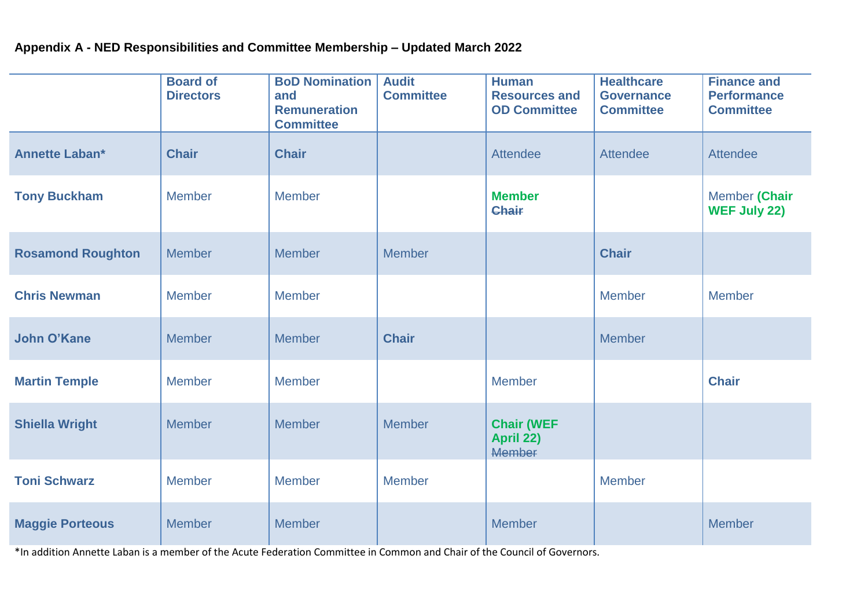# **Appendix A - NED Responsibilities and Committee Membership – Updated March 2022**

|                          | <b>Board of</b><br><b>Directors</b> | <b>BoD Nomination</b><br>and<br><b>Remuneration</b><br><b>Committee</b> | <b>Audit</b><br><b>Committee</b> | <b>Human</b><br><b>Resources and</b><br><b>OD Committee</b> | <b>Healthcare</b><br><b>Governance</b><br><b>Committee</b> | <b>Finance and</b><br><b>Performance</b><br><b>Committee</b> |
|--------------------------|-------------------------------------|-------------------------------------------------------------------------|----------------------------------|-------------------------------------------------------------|------------------------------------------------------------|--------------------------------------------------------------|
| <b>Annette Laban*</b>    | <b>Chair</b>                        | <b>Chair</b>                                                            |                                  | <b>Attendee</b>                                             | Attendee                                                   | <b>Attendee</b>                                              |
| <b>Tony Buckham</b>      | <b>Member</b>                       | <b>Member</b>                                                           |                                  | <b>Member</b><br>Chair                                      |                                                            | Member (Chair<br><b>WEF July 22)</b>                         |
| <b>Rosamond Roughton</b> | <b>Member</b>                       | Member                                                                  | <b>Member</b>                    |                                                             | <b>Chair</b>                                               |                                                              |
| <b>Chris Newman</b>      | <b>Member</b>                       | <b>Member</b>                                                           |                                  |                                                             | <b>Member</b>                                              | <b>Member</b>                                                |
| <b>John O'Kane</b>       | <b>Member</b>                       | <b>Member</b>                                                           | <b>Chair</b>                     |                                                             | <b>Member</b>                                              |                                                              |
| <b>Martin Temple</b>     | <b>Member</b>                       | <b>Member</b>                                                           |                                  | <b>Member</b>                                               |                                                            | <b>Chair</b>                                                 |
| <b>Shiella Wright</b>    | <b>Member</b>                       | <b>Member</b>                                                           | <b>Member</b>                    | <b>Chair (WEF</b><br>April 22)<br><b>Member</b>             |                                                            |                                                              |
| <b>Toni Schwarz</b>      | <b>Member</b>                       | <b>Member</b>                                                           | <b>Member</b>                    |                                                             | Member                                                     |                                                              |
| <b>Maggie Porteous</b>   | <b>Member</b>                       | Member                                                                  |                                  | <b>Member</b>                                               |                                                            | <b>Member</b>                                                |

\*In addition Annette Laban is a member of the Acute Federation Committee in Common and Chair of the Council of Governors.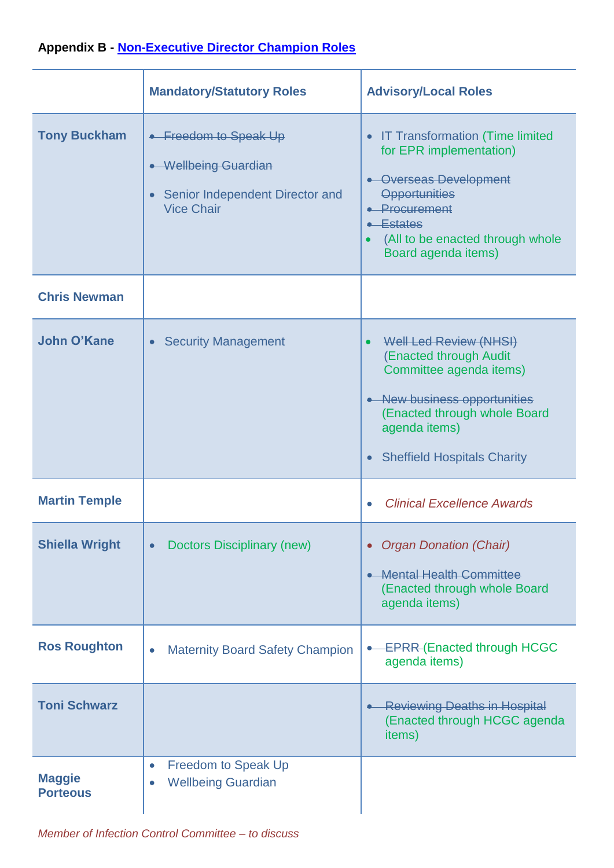# **Appendix B - [Non-Executive Director Champion Roles](https://www.england.nhs.uk/wp-content/uploads/2021/12/B0994_Enhancing-board-oversight-a-new-approach-to-non-executive-director-champion-roles_December-2021.pdf)**

|                                  | <b>Mandatory/Statutory Roles</b>                                                                                   | <b>Advisory/Local Roles</b>                                                                                                                                                                                                          |
|----------------------------------|--------------------------------------------------------------------------------------------------------------------|--------------------------------------------------------------------------------------------------------------------------------------------------------------------------------------------------------------------------------------|
| <b>Tony Buckham</b>              | • Freedom to Speak Up<br>• Wellbeing Guardian<br>Senior Independent Director and<br>$\bullet$<br><b>Vice Chair</b> | <b>IT Transformation (Time limited</b><br>$\bullet$<br>for EPR implementation)<br>• Overseas Development<br><b>Opportunities</b><br>• Procurement<br>$\leftarrow$ Estates<br>(All to be enacted through whole<br>Board agenda items) |
| <b>Chris Newman</b>              |                                                                                                                    |                                                                                                                                                                                                                                      |
| John O'Kane                      | <b>Security Management</b><br>$\bullet$                                                                            | Well Led Review (NHSI)<br>(Enacted through Audit<br>Committee agenda items)<br>New business opportunities<br>(Enacted through whole Board<br>agenda items)<br><b>Sheffield Hospitals Charity</b><br>$\bullet$                        |
| <b>Martin Temple</b>             |                                                                                                                    | <b>Clinical Excellence Awards</b>                                                                                                                                                                                                    |
| <b>Shiella Wright</b>            | <b>Doctors Disciplinary (new)</b><br>$\bullet$                                                                     | <b>Organ Donation (Chair)</b><br>$\bullet$<br>• Mental Health Committee<br>(Enacted through whole Board<br>agenda items)                                                                                                             |
| <b>Ros Roughton</b>              | <b>Maternity Board Safety Champion</b><br>$\bullet$                                                                | <b>EPRR-(Enacted through HCGC</b><br>agenda items)                                                                                                                                                                                   |
| <b>Toni Schwarz</b>              |                                                                                                                    | <b>Reviewing Deaths in Hospital</b><br>(Enacted through HCGC agenda<br>items)                                                                                                                                                        |
| <b>Maggie</b><br><b>Porteous</b> | <b>Freedom to Speak Up</b><br>$\bullet$<br><b>Wellbeing Guardian</b><br>$\bullet$                                  |                                                                                                                                                                                                                                      |